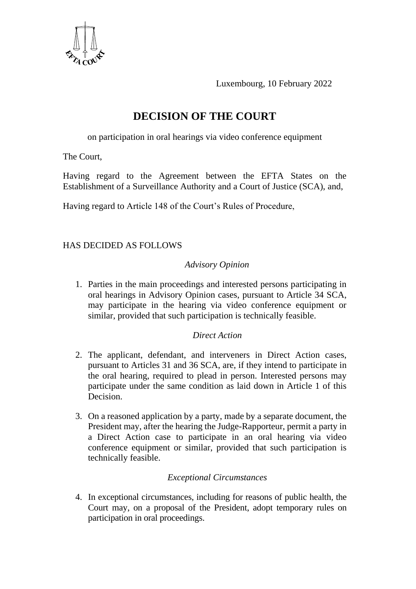

Luxembourg, 10 February 2022

# **DECISION OF THE COURT**

on participation in oral hearings via video conference equipment

The Court,

Having regard to the Agreement between the EFTA States on the Establishment of a Surveillance Authority and a Court of Justice (SCA), and,

Having regard to Article 148 of the Court's Rules of Procedure,

## HAS DECIDED AS FOLLOWS

## *Advisory Opinion*

1. Parties in the main proceedings and interested persons participating in oral hearings in Advisory Opinion cases, pursuant to Article 34 SCA, may participate in the hearing via video conference equipment or similar, provided that such participation is technically feasible.

### *Direct Action*

- 2. The applicant, defendant, and interveners in Direct Action cases, pursuant to Articles 31 and 36 SCA, are, if they intend to participate in the oral hearing, required to plead in person. Interested persons may participate under the same condition as laid down in Article 1 of this Decision.
- 3. On a reasoned application by a party, made by a separate document, the President may, after the hearing the Judge-Rapporteur, permit a party in a Direct Action case to participate in an oral hearing via video conference equipment or similar, provided that such participation is technically feasible.

### *Exceptional Circumstances*

4. In exceptional circumstances, including for reasons of public health, the Court may, on a proposal of the President, adopt temporary rules on participation in oral proceedings.